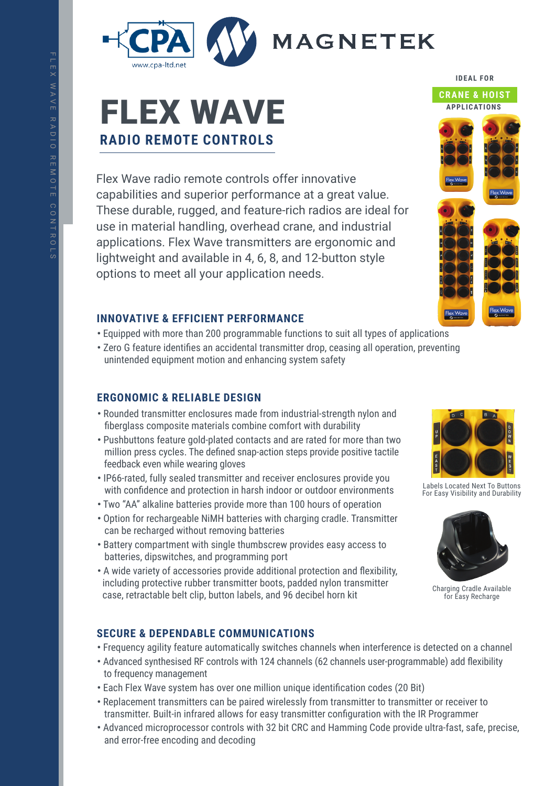

# FLEX WAVE **RADIO REMOTE CONTROLS**

Flex Wave radio remote controls offer innovative capabilities and superior performance at a great value. These durable, rugged, and feature-rich radios are ideal for use in material handling, overhead crane, and industrial applications. Flex Wave transmitters are ergonomic and lightweight and available in 4, 6, 8, and 12-button style options to meet all your application needs.

## **INNOVATIVE & EFFICIENT PERFORMANCE**

- **•** Equipped with more than 200 programmable functions to suit all types of applications
- **•** Zero G feature identifies an accidental transmitter drop, ceasing all operation, preventing unintended equipment motion and enhancing system safety

# **ERGONOMIC & RELIABLE DESIGN**

- **•** Rounded transmitter enclosures made from industrial-strength nylon and fiberglass composite materials combine comfort with durability
- **•** Pushbuttons feature gold-plated contacts and are rated for more than two million press cycles. The defined snap-action steps provide positive tactile feedback even while wearing gloves
- **•** IP66-rated, fully sealed transmitter and receiver enclosures provide you with confidence and protection in harsh indoor or outdoor environments
- **•** Two "AA" alkaline batteries provide more than 100 hours of operation
- **•** Option for rechargeable NiMH batteries with charging cradle. Transmitter can be recharged without removing batteries
- **•** Battery compartment with single thumbscrew provides easy access to batteries, dipswitches, and programming port
- **•** A wide variety of accessories provide additional protection and flexibility, including protective rubber transmitter boots, padded nylon transmitter case, retractable belt clip, button labels, and 96 decibel horn kit

# **SECURE & DEPENDABLE COMMUNICATIONS**

- **•** Frequency agility feature automatically switches channels when interference is detected on a channel
- **•** Advanced synthesised RF controls with 124 channels (62 channels user-programmable) add flexibility to frequency management
- **•** Each Flex Wave system has over one million unique identification codes (20 Bit)
- **•** Replacement transmitters can be paired wirelessly from transmitter to transmitter or receiver to transmitter. Built-in infrared allows for easy transmitter configuration with the IR Programmer
- **•** Advanced microprocessor controls with 32 bit CRC and Hamming Code provide ultra-fast, safe, precise, and error-free encoding and decoding

# **APPLICATIONS**



Labels Located Next To Buttons For Easy Visibility and Durability



Charging Cradle Available for Easy Recharge



**IDEAL FOR**